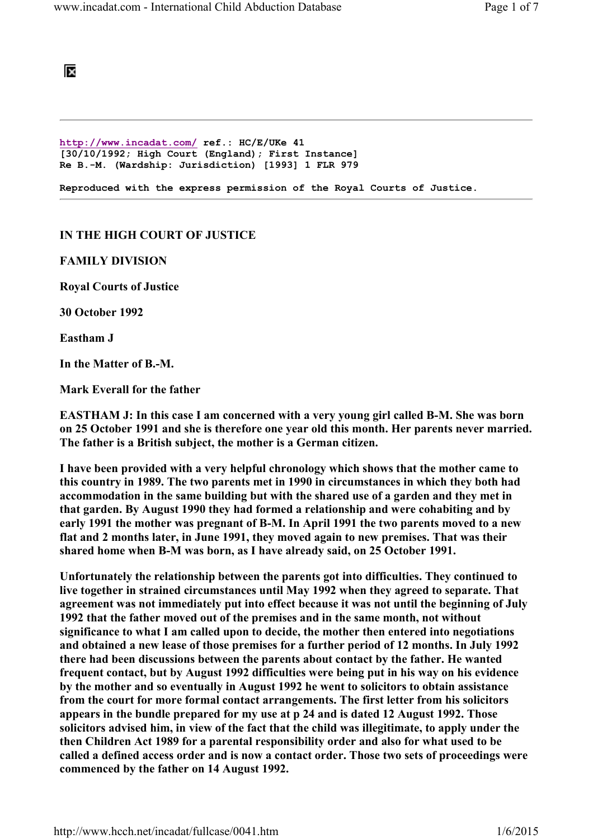## ĪХ

http://www.incadat.com/ ref.: HC/E/UKe 41 [30/10/1992; High Court (England); First Instance] Re B.-M. (Wardship: Jurisdiction) [1993] 1 FLR 979

Reproduced with the express permission of the Royal Courts of Justice.

## IN THE HIGH COURT OF JUSTICE

FAMILY DIVISION

Royal Courts of Justice

30 October 1992

Eastham J

In the Matter of B.-M.

Mark Everall for the father

EASTHAM J: In this case I am concerned with a very young girl called B-M. She was born on 25 October 1991 and she is therefore one year old this month. Her parents never married. The father is a British subject, the mother is a German citizen.

I have been provided with a very helpful chronology which shows that the mother came to this country in 1989. The two parents met in 1990 in circumstances in which they both had accommodation in the same building but with the shared use of a garden and they met in that garden. By August 1990 they had formed a relationship and were cohabiting and by early 1991 the mother was pregnant of B-M. In April 1991 the two parents moved to a new flat and 2 months later, in June 1991, they moved again to new premises. That was their shared home when B-M was born, as I have already said, on 25 October 1991.

Unfortunately the relationship between the parents got into difficulties. They continued to live together in strained circumstances until May 1992 when they agreed to separate. That agreement was not immediately put into effect because it was not until the beginning of July 1992 that the father moved out of the premises and in the same month, not without significance to what I am called upon to decide, the mother then entered into negotiations and obtained a new lease of those premises for a further period of 12 months. In July 1992 there had been discussions between the parents about contact by the father. He wanted frequent contact, but by August 1992 difficulties were being put in his way on his evidence by the mother and so eventually in August 1992 he went to solicitors to obtain assistance from the court for more formal contact arrangements. The first letter from his solicitors appears in the bundle prepared for my use at p 24 and is dated 12 August 1992. Those solicitors advised him, in view of the fact that the child was illegitimate, to apply under the then Children Act 1989 for a parental responsibility order and also for what used to be called a defined access order and is now a contact order. Those two sets of proceedings were commenced by the father on 14 August 1992.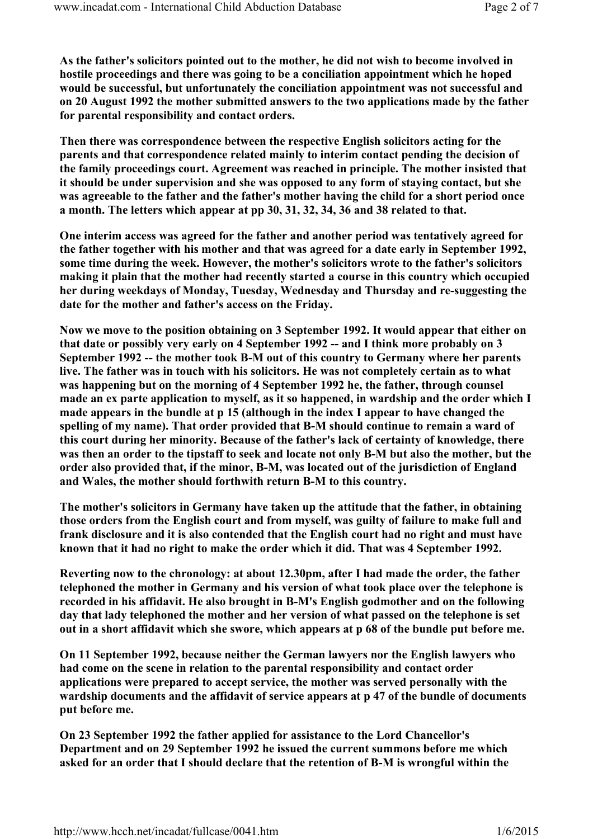As the father's solicitors pointed out to the mother, he did not wish to become involved in hostile proceedings and there was going to be a conciliation appointment which he hoped would be successful, but unfortunately the conciliation appointment was not successful and on 20 August 1992 the mother submitted answers to the two applications made by the father for parental responsibility and contact orders.

Then there was correspondence between the respective English solicitors acting for the parents and that correspondence related mainly to interim contact pending the decision of the family proceedings court. Agreement was reached in principle. The mother insisted that it should be under supervision and she was opposed to any form of staying contact, but she was agreeable to the father and the father's mother having the child for a short period once a month. The letters which appear at pp 30, 31, 32, 34, 36 and 38 related to that.

One interim access was agreed for the father and another period was tentatively agreed for the father together with his mother and that was agreed for a date early in September 1992, some time during the week. However, the mother's solicitors wrote to the father's solicitors making it plain that the mother had recently started a course in this country which occupied her during weekdays of Monday, Tuesday, Wednesday and Thursday and re-suggesting the date for the mother and father's access on the Friday.

Now we move to the position obtaining on 3 September 1992. It would appear that either on that date or possibly very early on 4 September 1992 -- and I think more probably on 3 September 1992 -- the mother took B-M out of this country to Germany where her parents live. The father was in touch with his solicitors. He was not completely certain as to what was happening but on the morning of 4 September 1992 he, the father, through counsel made an ex parte application to myself, as it so happened, in wardship and the order which I made appears in the bundle at p 15 (although in the index I appear to have changed the spelling of my name). That order provided that B-M should continue to remain a ward of this court during her minority. Because of the father's lack of certainty of knowledge, there was then an order to the tipstaff to seek and locate not only B-M but also the mother, but the order also provided that, if the minor, B-M, was located out of the jurisdiction of England and Wales, the mother should forthwith return B-M to this country.

The mother's solicitors in Germany have taken up the attitude that the father, in obtaining those orders from the English court and from myself, was guilty of failure to make full and frank disclosure and it is also contended that the English court had no right and must have known that it had no right to make the order which it did. That was 4 September 1992.

Reverting now to the chronology: at about 12.30pm, after I had made the order, the father telephoned the mother in Germany and his version of what took place over the telephone is recorded in his affidavit. He also brought in B-M's English godmother and on the following day that lady telephoned the mother and her version of what passed on the telephone is set out in a short affidavit which she swore, which appears at p 68 of the bundle put before me.

On 11 September 1992, because neither the German lawyers nor the English lawyers who had come on the scene in relation to the parental responsibility and contact order applications were prepared to accept service, the mother was served personally with the wardship documents and the affidavit of service appears at p 47 of the bundle of documents put before me.

On 23 September 1992 the father applied for assistance to the Lord Chancellor's Department and on 29 September 1992 he issued the current summons before me which asked for an order that I should declare that the retention of B-M is wrongful within the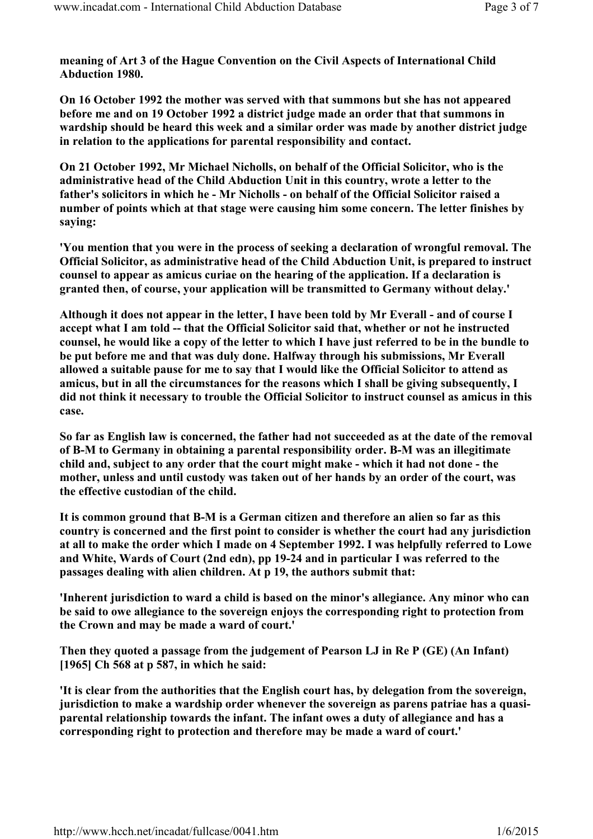meaning of Art 3 of the Hague Convention on the Civil Aspects of International Child Abduction 1980.

On 16 October 1992 the mother was served with that summons but she has not appeared before me and on 19 October 1992 a district judge made an order that that summons in wardship should be heard this week and a similar order was made by another district judge in relation to the applications for parental responsibility and contact.

On 21 October 1992, Mr Michael Nicholls, on behalf of the Official Solicitor, who is the administrative head of the Child Abduction Unit in this country, wrote a letter to the father's solicitors in which he - Mr Nicholls - on behalf of the Official Solicitor raised a number of points which at that stage were causing him some concern. The letter finishes by saying:

'You mention that you were in the process of seeking a declaration of wrongful removal. The Official Solicitor, as administrative head of the Child Abduction Unit, is prepared to instruct counsel to appear as amicus curiae on the hearing of the application. If a declaration is granted then, of course, your application will be transmitted to Germany without delay.'

Although it does not appear in the letter, I have been told by Mr Everall - and of course I accept what I am told -- that the Official Solicitor said that, whether or not he instructed counsel, he would like a copy of the letter to which I have just referred to be in the bundle to be put before me and that was duly done. Halfway through his submissions, Mr Everall allowed a suitable pause for me to say that I would like the Official Solicitor to attend as amicus, but in all the circumstances for the reasons which I shall be giving subsequently, I did not think it necessary to trouble the Official Solicitor to instruct counsel as amicus in this case.

So far as English law is concerned, the father had not succeeded as at the date of the removal of B-M to Germany in obtaining a parental responsibility order. B-M was an illegitimate child and, subject to any order that the court might make - which it had not done - the mother, unless and until custody was taken out of her hands by an order of the court, was the effective custodian of the child.

It is common ground that B-M is a German citizen and therefore an alien so far as this country is concerned and the first point to consider is whether the court had any jurisdiction at all to make the order which I made on 4 September 1992. I was helpfully referred to Lowe and White, Wards of Court (2nd edn), pp 19-24 and in particular I was referred to the passages dealing with alien children. At p 19, the authors submit that:

'Inherent jurisdiction to ward a child is based on the minor's allegiance. Any minor who can be said to owe allegiance to the sovereign enjoys the corresponding right to protection from the Crown and may be made a ward of court.'

Then they quoted a passage from the judgement of Pearson LJ in Re P (GE) (An Infant) [1965] Ch 568 at p 587, in which he said:

'It is clear from the authorities that the English court has, by delegation from the sovereign, jurisdiction to make a wardship order whenever the sovereign as parens patriae has a quasiparental relationship towards the infant. The infant owes a duty of allegiance and has a corresponding right to protection and therefore may be made a ward of court.'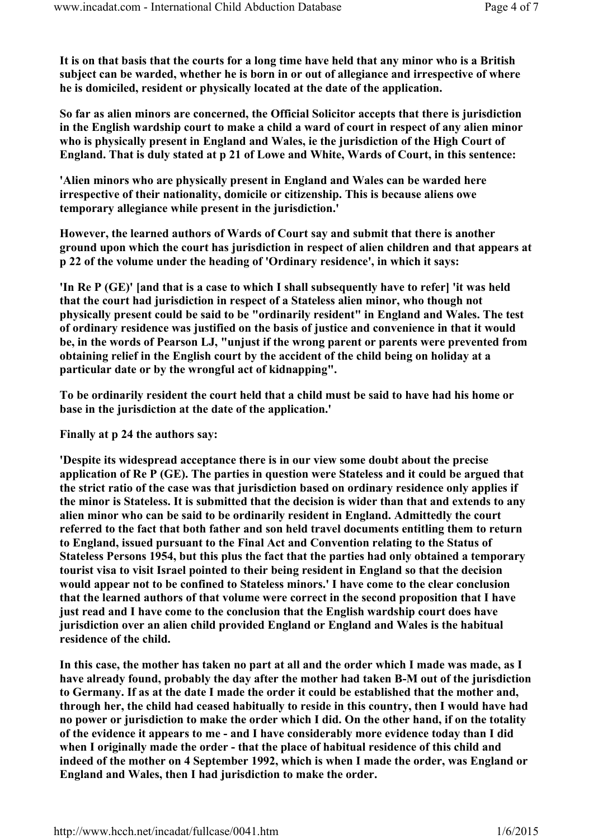It is on that basis that the courts for a long time have held that any minor who is a British subject can be warded, whether he is born in or out of allegiance and irrespective of where he is domiciled, resident or physically located at the date of the application.

So far as alien minors are concerned, the Official Solicitor accepts that there is jurisdiction in the English wardship court to make a child a ward of court in respect of any alien minor who is physically present in England and Wales, ie the jurisdiction of the High Court of England. That is duly stated at p 21 of Lowe and White, Wards of Court, in this sentence:

'Alien minors who are physically present in England and Wales can be warded here irrespective of their nationality, domicile or citizenship. This is because aliens owe temporary allegiance while present in the jurisdiction.'

However, the learned authors of Wards of Court say and submit that there is another ground upon which the court has jurisdiction in respect of alien children and that appears at p 22 of the volume under the heading of 'Ordinary residence', in which it says:

'In Re P (GE)' [and that is a case to which I shall subsequently have to refer] 'it was held that the court had jurisdiction in respect of a Stateless alien minor, who though not physically present could be said to be "ordinarily resident" in England and Wales. The test of ordinary residence was justified on the basis of justice and convenience in that it would be, in the words of Pearson LJ, "unjust if the wrong parent or parents were prevented from obtaining relief in the English court by the accident of the child being on holiday at a particular date or by the wrongful act of kidnapping".

To be ordinarily resident the court held that a child must be said to have had his home or base in the jurisdiction at the date of the application.'

Finally at p 24 the authors say:

'Despite its widespread acceptance there is in our view some doubt about the precise application of Re P (GE). The parties in question were Stateless and it could be argued that the strict ratio of the case was that jurisdiction based on ordinary residence only applies if the minor is Stateless. It is submitted that the decision is wider than that and extends to any alien minor who can be said to be ordinarily resident in England. Admittedly the court referred to the fact that both father and son held travel documents entitling them to return to England, issued pursuant to the Final Act and Convention relating to the Status of Stateless Persons 1954, but this plus the fact that the parties had only obtained a temporary tourist visa to visit Israel pointed to their being resident in England so that the decision would appear not to be confined to Stateless minors.' I have come to the clear conclusion that the learned authors of that volume were correct in the second proposition that I have just read and I have come to the conclusion that the English wardship court does have jurisdiction over an alien child provided England or England and Wales is the habitual residence of the child.

In this case, the mother has taken no part at all and the order which I made was made, as I have already found, probably the day after the mother had taken B-M out of the jurisdiction to Germany. If as at the date I made the order it could be established that the mother and, through her, the child had ceased habitually to reside in this country, then I would have had no power or jurisdiction to make the order which I did. On the other hand, if on the totality of the evidence it appears to me - and I have considerably more evidence today than I did when I originally made the order - that the place of habitual residence of this child and indeed of the mother on 4 September 1992, which is when I made the order, was England or England and Wales, then I had jurisdiction to make the order.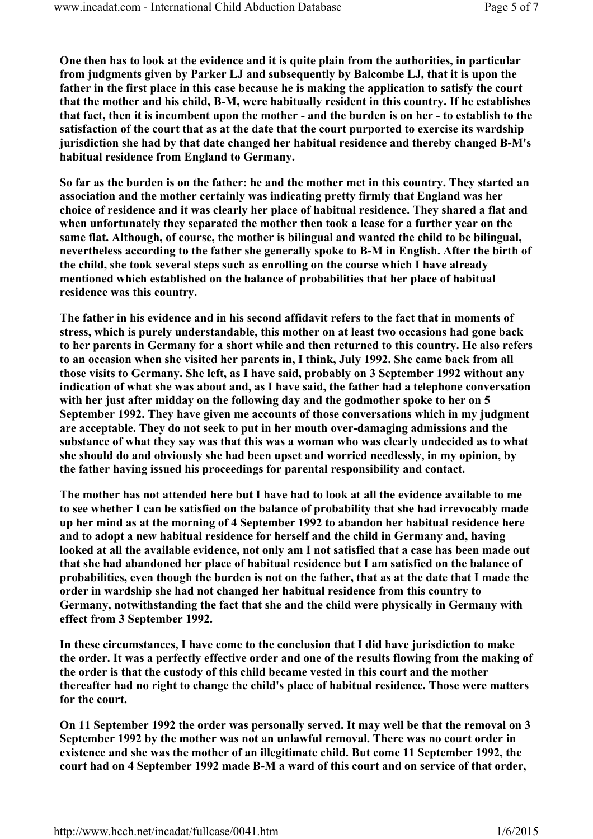One then has to look at the evidence and it is quite plain from the authorities, in particular from judgments given by Parker LJ and subsequently by Balcombe LJ, that it is upon the father in the first place in this case because he is making the application to satisfy the court that the mother and his child, B-M, were habitually resident in this country. If he establishes that fact, then it is incumbent upon the mother - and the burden is on her - to establish to the satisfaction of the court that as at the date that the court purported to exercise its wardship jurisdiction she had by that date changed her habitual residence and thereby changed B-M's habitual residence from England to Germany.

So far as the burden is on the father: he and the mother met in this country. They started an association and the mother certainly was indicating pretty firmly that England was her choice of residence and it was clearly her place of habitual residence. They shared a flat and when unfortunately they separated the mother then took a lease for a further year on the same flat. Although, of course, the mother is bilingual and wanted the child to be bilingual, nevertheless according to the father she generally spoke to B-M in English. After the birth of the child, she took several steps such as enrolling on the course which I have already mentioned which established on the balance of probabilities that her place of habitual residence was this country.

The father in his evidence and in his second affidavit refers to the fact that in moments of stress, which is purely understandable, this mother on at least two occasions had gone back to her parents in Germany for a short while and then returned to this country. He also refers to an occasion when she visited her parents in, I think, July 1992. She came back from all those visits to Germany. She left, as I have said, probably on 3 September 1992 without any indication of what she was about and, as I have said, the father had a telephone conversation with her just after midday on the following day and the godmother spoke to her on 5 September 1992. They have given me accounts of those conversations which in my judgment are acceptable. They do not seek to put in her mouth over-damaging admissions and the substance of what they say was that this was a woman who was clearly undecided as to what she should do and obviously she had been upset and worried needlessly, in my opinion, by the father having issued his proceedings for parental responsibility and contact.

The mother has not attended here but I have had to look at all the evidence available to me to see whether I can be satisfied on the balance of probability that she had irrevocably made up her mind as at the morning of 4 September 1992 to abandon her habitual residence here and to adopt a new habitual residence for herself and the child in Germany and, having looked at all the available evidence, not only am I not satisfied that a case has been made out that she had abandoned her place of habitual residence but I am satisfied on the balance of probabilities, even though the burden is not on the father, that as at the date that I made the order in wardship she had not changed her habitual residence from this country to Germany, notwithstanding the fact that she and the child were physically in Germany with effect from 3 September 1992.

In these circumstances, I have come to the conclusion that I did have jurisdiction to make the order. It was a perfectly effective order and one of the results flowing from the making of the order is that the custody of this child became vested in this court and the mother thereafter had no right to change the child's place of habitual residence. Those were matters for the court.

On 11 September 1992 the order was personally served. It may well be that the removal on 3 September 1992 by the mother was not an unlawful removal. There was no court order in existence and she was the mother of an illegitimate child. But come 11 September 1992, the court had on 4 September 1992 made B-M a ward of this court and on service of that order,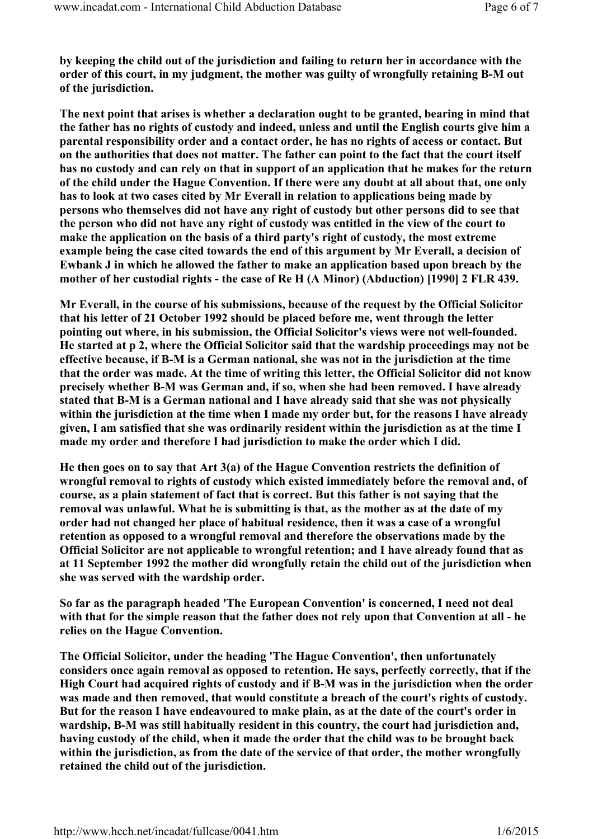by keeping the child out of the jurisdiction and failing to return her in accordance with the order of this court, in my judgment, the mother was guilty of wrongfully retaining B-M out of the jurisdiction.

The next point that arises is whether a declaration ought to be granted, bearing in mind that the father has no rights of custody and indeed, unless and until the English courts give him a parental responsibility order and a contact order, he has no rights of access or contact. But on the authorities that does not matter. The father can point to the fact that the court itself has no custody and can rely on that in support of an application that he makes for the return of the child under the Hague Convention. If there were any doubt at all about that, one only has to look at two cases cited by Mr Everall in relation to applications being made by persons who themselves did not have any right of custody but other persons did to see that the person who did not have any right of custody was entitled in the view of the court to make the application on the basis of a third party's right of custody, the most extreme example being the case cited towards the end of this argument by Mr Everall, a decision of Ewbank J in which he allowed the father to make an application based upon breach by the mother of her custodial rights - the case of Re H (A Minor) (Abduction) [1990] 2 FLR 439.

Mr Everall, in the course of his submissions, because of the request by the Official Solicitor that his letter of 21 October 1992 should be placed before me, went through the letter pointing out where, in his submission, the Official Solicitor's views were not well-founded. He started at p 2, where the Official Solicitor said that the wardship proceedings may not be effective because, if B-M is a German national, she was not in the jurisdiction at the time that the order was made. At the time of writing this letter, the Official Solicitor did not know precisely whether B-M was German and, if so, when she had been removed. I have already stated that B-M is a German national and I have already said that she was not physically within the jurisdiction at the time when I made my order but, for the reasons I have already given, I am satisfied that she was ordinarily resident within the jurisdiction as at the time I made my order and therefore I had jurisdiction to make the order which I did.

He then goes on to say that Art 3(a) of the Hague Convention restricts the definition of wrongful removal to rights of custody which existed immediately before the removal and, of course, as a plain statement of fact that is correct. But this father is not saying that the removal was unlawful. What he is submitting is that, as the mother as at the date of my order had not changed her place of habitual residence, then it was a case of a wrongful retention as opposed to a wrongful removal and therefore the observations made by the Official Solicitor are not applicable to wrongful retention; and I have already found that as at 11 September 1992 the mother did wrongfully retain the child out of the jurisdiction when she was served with the wardship order.

So far as the paragraph headed 'The European Convention' is concerned, I need not deal with that for the simple reason that the father does not rely upon that Convention at all - he relies on the Hague Convention.

The Official Solicitor, under the heading 'The Hague Convention', then unfortunately considers once again removal as opposed to retention. He says, perfectly correctly, that if the High Court had acquired rights of custody and if B-M was in the jurisdiction when the order was made and then removed, that would constitute a breach of the court's rights of custody. But for the reason I have endeavoured to make plain, as at the date of the court's order in wardship, B-M was still habitually resident in this country, the court had jurisdiction and, having custody of the child, when it made the order that the child was to be brought back within the jurisdiction, as from the date of the service of that order, the mother wrongfully retained the child out of the jurisdiction.